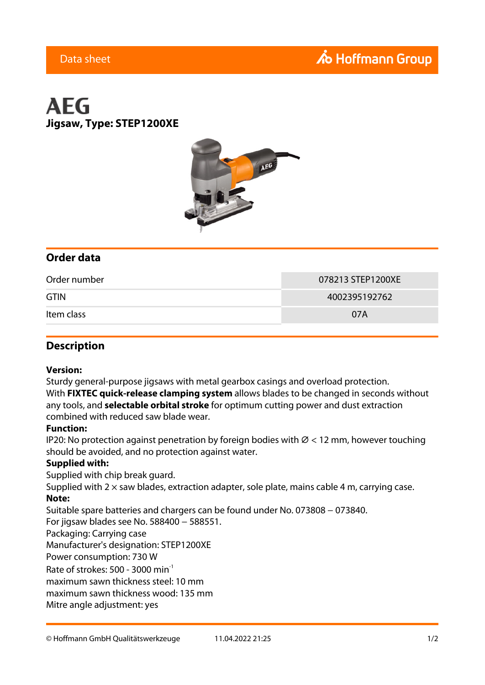## **A** Hoffmann Group

### Data sheet

# **AEG Jigsaw, Type: STEP1200XE**



### **Order data**

| Order number | 078213 STEP1200XE |
|--------------|-------------------|
| <b>GTIN</b>  | 4002395192762     |
| Item class   | 07A               |

### **Description**

#### **Version:**

Sturdy general-purpose jigsaws with metal gearbox casings and overload protection. With **FIXTEC quick-release clamping system** allows blades to be changed in seconds without any tools, and **selectable orbital stroke** for optimum cutting power and dust extraction combined with reduced saw blade wear.

#### **Function:**

IP20: No protection against penetration by foreign bodies with  $\varnothing$  < 12 mm, however touching should be avoided, and no protection against water.

#### **Supplied with:**

Supplied with chip break guard.

Supplied with  $2 \times$  saw blades, extraction adapter, sole plate, mains cable 4 m, carrying case. **Note:**

Suitable spare batteries and chargers can be found under No. 073808 − 073840.

For jigsaw blades see No. 588400 − 588551.

Packaging: Carrying case

Manufacturer's designation: STEP1200XE

Power consumption: 730 W

Rate of strokes: 500 - 3000  $min^{-1}$ 

maximum sawn thickness steel: 10 mm

maximum sawn thickness wood: 135 mm

Mitre angle adjustment: yes